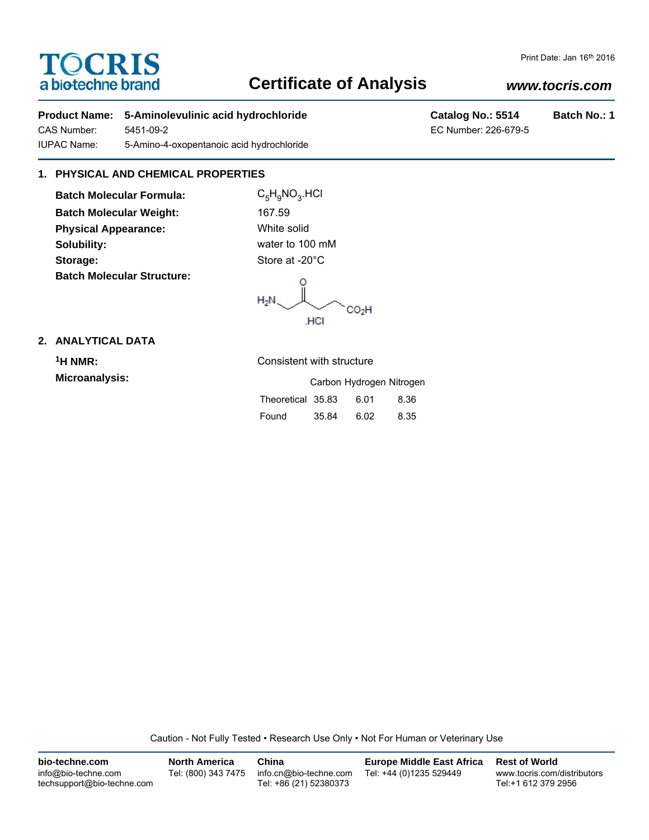# **TOCRIS** a biotechne brand

## **Certificate of Analysis**

#### Print Date: Jan 16th 2016

## *www.tocris.com*

## **Product Name:** 5-Aminolevulinic acid hydrochloride **Catalog No.: 5514** Batch No.: 1

CAS Number: 5451-09-2 EC Number: 226-679-5 IUPAC Name: 5-Amino-4-oxopentanoic acid hydrochloride

## **1. PHYSICAL AND CHEMICAL PROPERTIES**

**Batch Molecular Formula:** C<sub>5</sub>H<sub>9</sub>NO<sub>3</sub>.HCl **Batch Molecular Weight:** 167.59 **Physical Appearance:** White solid **Solubility:** water to 100 mM Storage: Storage: Store at -20<sup>°</sup>C **Batch Molecular Structure:**

 $H_2N$  $CO<sub>2</sub>H$ **HCI** 

### **2. ANALYTICAL DATA**

**Microanalysis:** 

**1H NMR:** Consistent with structure

|                   |       | Carbon Hydrogen Nitrogen |      |
|-------------------|-------|--------------------------|------|
| Theoretical 35.83 |       | 6.01                     | 8.36 |
| Found             | 35.84 | 6.02                     | 8.35 |

Caution - Not Fully Tested • Research Use Only • Not For Human or Veterinary Use

| bio-techne.com                                    | <b>North America</b> | China                                            | <b>Europe Middle East Africa</b> | <b>Rest of World</b>                               |
|---------------------------------------------------|----------------------|--------------------------------------------------|----------------------------------|----------------------------------------------------|
| info@bio-techne.com<br>techsupport@bio-techne.com | Tel: (800) 343 7475  | info.cn@bio-techne.com<br>Tel: +86 (21) 52380373 | Tel: +44 (0)1235 529449          | www.tocris.com/distributors<br>Tel:+1 612 379 2956 |